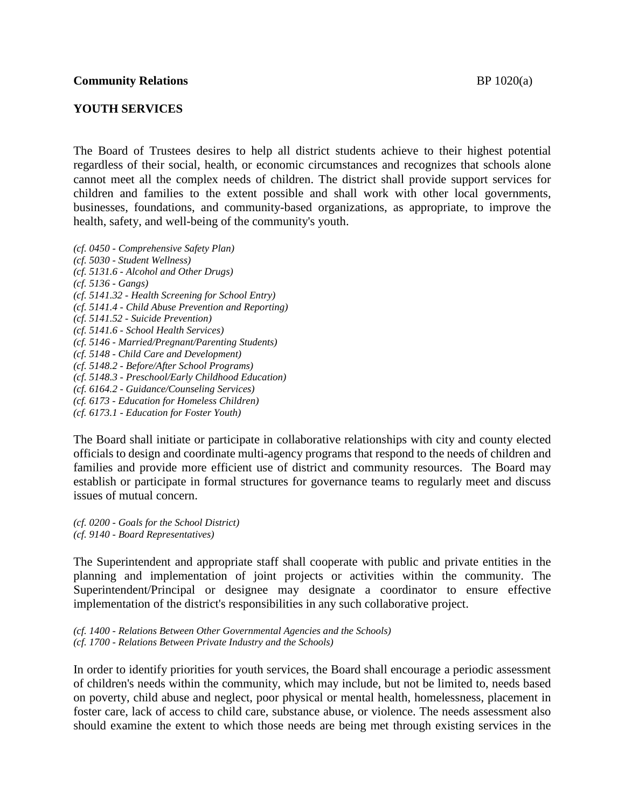# **YOUTH SERVICES**

The Board of Trustees desires to help all district students achieve to their highest potential regardless of their social, health, or economic circumstances and recognizes that schools alone cannot meet all the complex needs of children. The district shall provide support services for children and families to the extent possible and shall work with other local governments, businesses, foundations, and community-based organizations, as appropriate, to improve the health, safety, and well-being of the community's youth.

*(cf. 0450 - Comprehensive Safety Plan) (cf. 5030 - Student Wellness) (cf. 5131.6 - Alcohol and Other Drugs) (cf. 5136 - Gangs) (cf. 5141.32 - Health Screening for School Entry) (cf. 5141.4 - Child Abuse Prevention and Reporting) (cf. 5141.52 - Suicide Prevention) (cf. 5141.6 - School Health Services) (cf. 5146 - Married/Pregnant/Parenting Students) (cf. 5148 - Child Care and Development) (cf. 5148.2 - Before/After School Programs) (cf. 5148.3 - Preschool/Early Childhood Education) (cf. 6164.2 - Guidance/Counseling Services) (cf. 6173 - Education for Homeless Children) (cf. 6173.1 - Education for Foster Youth)*

The Board shall initiate or participate in collaborative relationships with city and county elected officials to design and coordinate multi-agency programs that respond to the needs of children and families and provide more efficient use of district and community resources. The Board may establish or participate in formal structures for governance teams to regularly meet and discuss issues of mutual concern.

*(cf. 0200 - Goals for the School District) (cf. 9140 - Board Representatives)*

The Superintendent and appropriate staff shall cooperate with public and private entities in the planning and implementation of joint projects or activities within the community. The Superintendent/Principal or designee may designate a coordinator to ensure effective implementation of the district's responsibilities in any such collaborative project.

*(cf. 1400 - Relations Between Other Governmental Agencies and the Schools) (cf. 1700 - Relations Between Private Industry and the Schools)*

In order to identify priorities for youth services, the Board shall encourage a periodic assessment of children's needs within the community, which may include, but not be limited to, needs based on poverty, child abuse and neglect, poor physical or mental health, homelessness, placement in foster care, lack of access to child care, substance abuse, or violence. The needs assessment also should examine the extent to which those needs are being met through existing services in the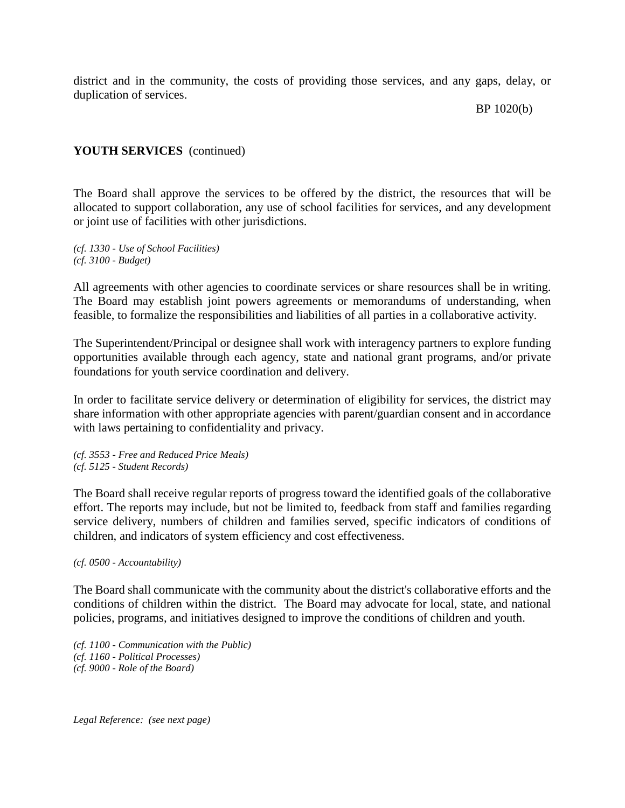district and in the community, the costs of providing those services, and any gaps, delay, or duplication of services.

#### BP 1020(b)

# **YOUTH SERVICES** (continued)

The Board shall approve the services to be offered by the district, the resources that will be allocated to support collaboration, any use of school facilities for services, and any development or joint use of facilities with other jurisdictions.

*(cf. 1330 - Use of School Facilities) (cf. 3100 - Budget)*

All agreements with other agencies to coordinate services or share resources shall be in writing. The Board may establish joint powers agreements or memorandums of understanding, when feasible, to formalize the responsibilities and liabilities of all parties in a collaborative activity.

The Superintendent/Principal or designee shall work with interagency partners to explore funding opportunities available through each agency, state and national grant programs, and/or private foundations for youth service coordination and delivery.

In order to facilitate service delivery or determination of eligibility for services, the district may share information with other appropriate agencies with parent/guardian consent and in accordance with laws pertaining to confidentiality and privacy.

*(cf. 3553 - Free and Reduced Price Meals) (cf. 5125 - Student Records)*

The Board shall receive regular reports of progress toward the identified goals of the collaborative effort. The reports may include, but not be limited to, feedback from staff and families regarding service delivery, numbers of children and families served, specific indicators of conditions of children, and indicators of system efficiency and cost effectiveness.

*(cf. 0500 - Accountability)*

The Board shall communicate with the community about the district's collaborative efforts and the conditions of children within the district. The Board may advocate for local, state, and national policies, programs, and initiatives designed to improve the conditions of children and youth.

*(cf. 1100 - Communication with the Public) (cf. 1160 - Political Processes) (cf. 9000 - Role of the Board)*

*Legal Reference: (see next page)*